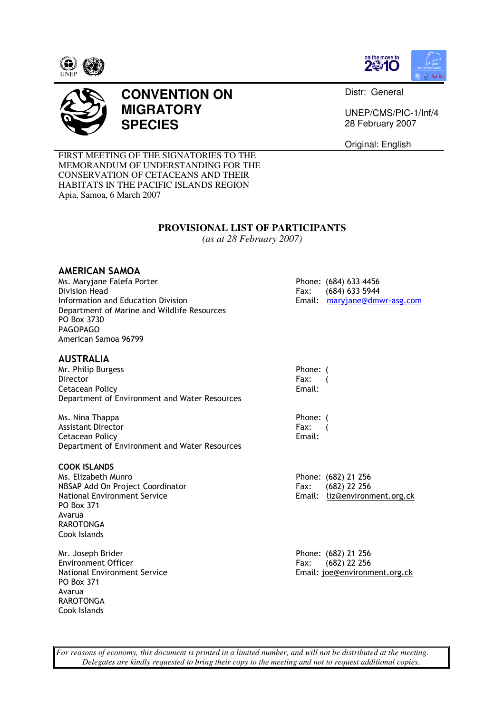





## **CONVENTION ON MIGRATORY SPECIES**

Distr: General

UNEP/CMS/PIC-1/Inf/4 28 February 2007

Original: English

FIRST MEETING OF THE SIGNATORIES TO THE MEMORANDUM OF UNDERSTANDING FOR THE CONSERVATION OF CETACEANS AND THEIR HABITATS IN THE PACIFIC ISLANDS REGION Apia, Samoa, 6 March 2007

### **PROVISIONAL LIST OF PARTICIPANTS**

*(as at 28 February 2007)* 

### AMERICAN SAMOA

Ms. Maryjane Falefa Porter **Phone: (684) 633 4456** Division Head<br>
Information and Education Division<br>
Fax: (684) 633 5944<br>
Email: maryjane@dmwr-asg.com Information and Education Division Department of Marine and Wildlife Resources PO Box 3730 PAGOPAGO American Samoa 96799

### AUSTRALIA

Mr. Philip Burgess **Phone:** ( Director Fax: ( Cetacean Policy **Email:** Department of Environment and Water Resources

Ms. Nina Thappa Phone: (Phone: 0) Assistant Director **Fax:** (2004) **Fax:** (2004) **Fax:** (2004) **Fax:** (2004) **Fax:** (2004) **Fax:** (2004) **Fax:** (2004) **Fax:** (2004) **Fax:** (2004) **Fax:** (2004) **Fax:** (2004) **Fax:** (2004) **Fax:** (2004) **Fax:** (2004) **Fax:** Cetacean Policy Department of Environment and Water Resources

**COOK ISLANDS**<br>Ms. Elizabeth Munro NBSAP Add On Project Coordinator Fax: (682) 22 256 National Environment Service Email: liz@environment.org.ck PO Box 371 Avarua RAROTONGA Cook Islands

Mr. Joseph Brider **Phone: (682) 21 256** Environment Officer Fax: (682) 22 256 PO Box 371 Avarua RAROTONGA Cook Islands

Phone: (682) 21 256

National Environment Service Email: joe@environment.org.ck

*For reasons of economy, this document is printed in a limited number, and will not be distributed at the meeting. Delegates are kindly requested to bring their copy to the meeting and not to request additional copies.*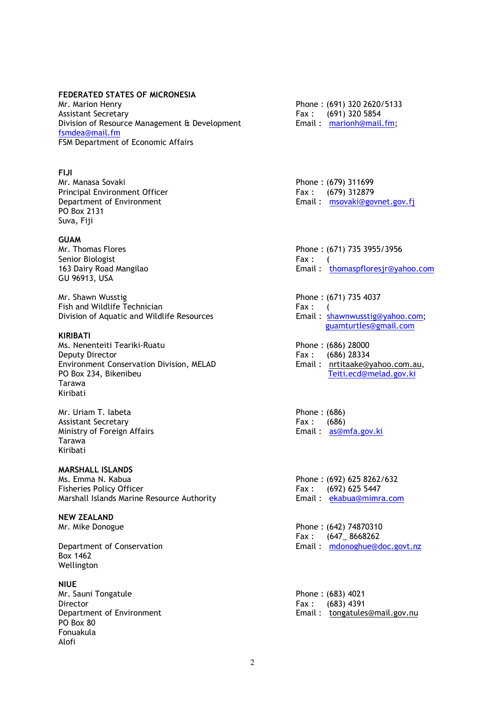### FEDERATED STATES OF MICRONESIA

Mr. Marion Henry Phone : (691) 320 2620/5133 Assistant Secretary **Fax** : (691) 320 5854 Division of Resource Management & Development Email: marionh@mail.fm; fsmdea@mail.fm FSM Department of Economic Affairs

### FIJI

Mr. Manasa Sovaki **Phone** : (679) 311699 Principal Environment Officer Fax : (679) 312879 PO Box 2131 Suva, Fiji

**GUAM**<br>Mr. Thomas Flores Senior Biologist Fax : (Fig. 2.1) Senior Biologist Fax : (Fig. 2.1) Senior Biologist GU 96913, USA

Mr. Shawn Wusstig Phone : (671) 735 4037 Fish and Wildlife Technician Fax : (Fax : 6) Division of Aquatic and Wildlife Resources The State of Email: shawnwusstig@yahoo.com;

### KIRIBATI

Ms. Nenenteiti Teariki-Ruatu Phone : (686) 28000 Environment Conservation Division, MELAD<br>PO Box 234. Bikenibeu Tarawa Kiribati

Mr. Uriam T. labeta Phone : (686) Assistant Secretary<br>
Ministry of Foreign Affairs<br>
Ministry of Foreign Affairs<br>
All the Ministry of Foreign Affairs<br>
All the Ministry of Foreign Affairs Ministry of Foreign Affairs Tarawa Kiribati

# **MARSHALL ISLANDS**<br>Ms. Emma N. Kabua

Ms. Emma N. Kabua 2008 (692) 625 8262/632<br>Phone : (692) 625 8262/632<br>Fisheries Policy Officer Marshall Islands Marine Resource Authority

## NEW ZEALAND

Box 1462 Wellington

**NIUE** Mr. Sauni Tongatule **Phone : (683) 4021** Director Fax : (683) 4391 PO Box 80 Fonuakula Alofi

Department of Environment **Email** : msovaki@govnet.gov.fi

Phone: (671) 735 3955/3956 163 Dairy Road Mangilao **Email** : thomaspfloresjr@yahoo.com

guamturtles@gmail.com

Fax : (686) 28334<br>Email : nrtitaake@yahoo.com.au, Teiti.ecd@melad.gov.ki

Fax :  $(692)$  625 5447<br>Email :  $ekabua@minra.com$ 

Mr. Mike Donogue **Phone : (642) 74870310** Fax : (647\_ 8668262 Department of Conservation Email : mdonoghue@doc.govt.nz

Department of Environment Email : tongatules@mail.gov.nu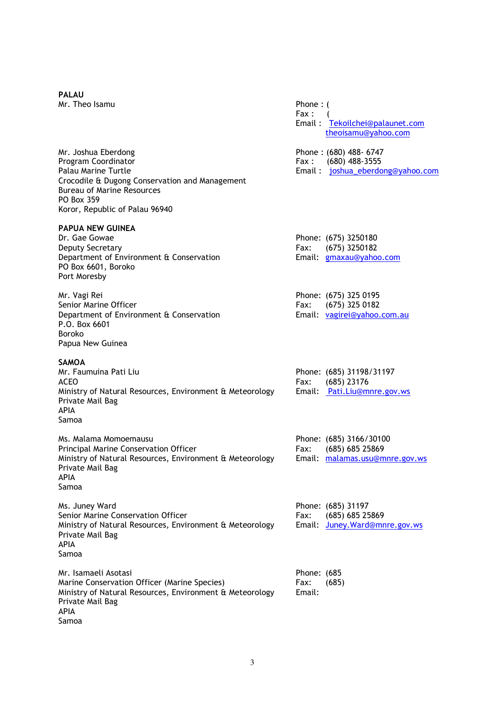# PALAU

Mr. Joshua Eberdong Phone : (680) 488- 6747 Program Coordinator **Fax** : (680) 488-3555 Palau Marine Turtle **Email : in the Email : in the example of the Email : in the example of the example of the Email : in the example of the example of the example of the example of the example of the example of the exampl** Crocodile & Dugong Conservation and Management Bureau of Marine Resources PO Box 359 Koror, Republic of Palau 96940

# **PAPUA NEW GUINEA**<br>Dr. Gae Gowae

Deputy Secretary **Fax:** (675) 3250182 Department of Environment & Conservation Figure 2011 Email: gmaxau@yahoo.com PO Box 6601, Boroko Port Moresby

Mr. Vagi Rei Phone: (675) 325 0195 Senior Marine Officer Fax: (675) 325 0182 Department of Environment & Conservation **Email:** vagirei@yahoo.com.au P.O. Box 6601 Boroko Papua New Guinea

### SAMOA

Mr. Faumuina Pati Liu Phone: (685) 31198/31197 ACEO Fax: (685) 23176 Ministry of Natural Resources, Environment & Meteorology Email: Pati.Liu@mnre.gov.ws Private Mail Bag APIA Samoa

Ms. Malama Momoemausu Phone: (685) 3166/30100 Principal Marine Conservation Officer Fax: (685) 685 25869 Ministry of Natural Resources, Environment & Meteorology Email: malamas.usu@mnre.gov.ws Private Mail Bag APIA Samoa

Ms. Juney Ward Phone: (685) 31197 Senior Marine Conservation Officer Fax: (685) 685 25869 Ministry of Natural Resources, Environment & Meteorology Email: Juney.Ward@mnre.gov.ws Private Mail Bag APIA Samoa

Mr. Isamaeli Asotasi Phone: (685 Marine Conservation Officer (Marine Species) Fax: (685) Ministry of Natural Resources, Environment & Meteorology Email: Private Mail Bag APIA Samoa

Mr. Theo Isamu **Phone** : ( Fax: Email : Tekoilchei@palaunet.com theoisamu@yahoo.com Phone: (675) 3250180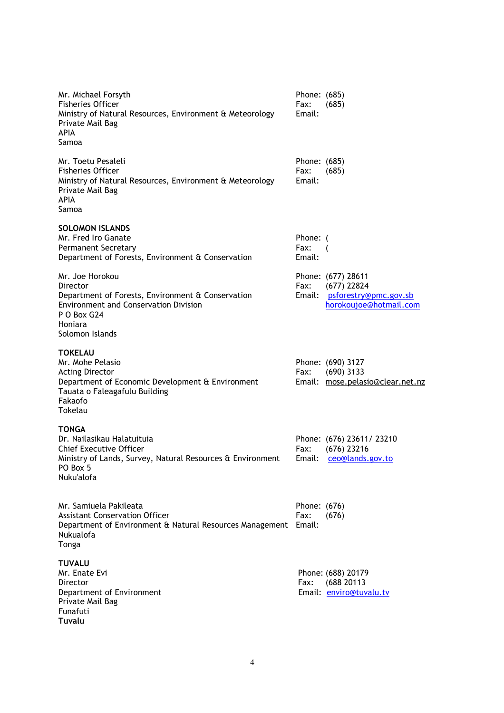| Mr. Michael Forsyth<br><b>Fisheries Officer</b><br>Ministry of Natural Resources, Environment & Meteorology<br>Private Mail Bag<br><b>APIA</b><br>Samoa                       | Phone: (685)<br>Fax:<br>Email: | (685)                                                                                  |
|-------------------------------------------------------------------------------------------------------------------------------------------------------------------------------|--------------------------------|----------------------------------------------------------------------------------------|
| Mr. Toetu Pesaleli<br><b>Fisheries Officer</b><br>Ministry of Natural Resources, Environment & Meteorology<br>Private Mail Bag<br><b>APIA</b><br>Samoa                        | Phone: (685)<br>Fax:<br>Email: | (685)                                                                                  |
| <b>SOLOMON ISLANDS</b><br>Mr. Fred Iro Ganate<br><b>Permanent Secretary</b><br>Department of Forests, Environment & Conservation                                              | Phone: (<br>Fax:<br>Email:     |                                                                                        |
| Mr. Joe Horokou<br>Director<br>Department of Forests, Environment & Conservation<br><b>Environment and Conservation Division</b><br>P O Box G24<br>Honiara<br>Solomon Islands | Fax:<br>Email:                 | Phone: (677) 28611<br>$(677)$ 22824<br>psforestry@pmc.gov.sb<br>horokoujoe@hotmail.com |
| TOKELAU<br>Mr. Mohe Pelasio<br><b>Acting Director</b><br>Department of Economic Development & Environment<br>Tauata o Faleagafulu Building<br>Fakaofo<br>Tokelau              | Fax:                           | Phone: (690) 3127<br>$(690)$ 3133<br>Email: mose.pelasio@clear.net.nz                  |
| <b>TONGA</b><br>Dr. Nailasikau Halatuituja<br><b>Chief Executive Officer</b><br>Ministry of Lands, Survey, Natural Resources & Environment<br>PO Box 5<br>Nuku'alofa          | Fax:<br>Email:                 | Phone: (676) 23611/ 23210<br>$(676)$ 23216<br>ceo@lands.gov.to                         |
| Mr. Samiuela Pakileata<br><b>Assistant Conservation Officer</b><br>Department of Environment & Natural Resources Management Email:<br><b>Nukualofa</b><br>Tonga               | Phone: (676)<br>Fax:           | (676)                                                                                  |
| <b>TUVALU</b><br>Mr. Enate Evi<br>Director<br>Department of Environment<br>Private Mail Bag<br>Funafuti<br>Tuvalu                                                             | Fax:                           | Phone: (688) 20179<br>(688 20113<br>Email: enviro@tuvalu.tv                            |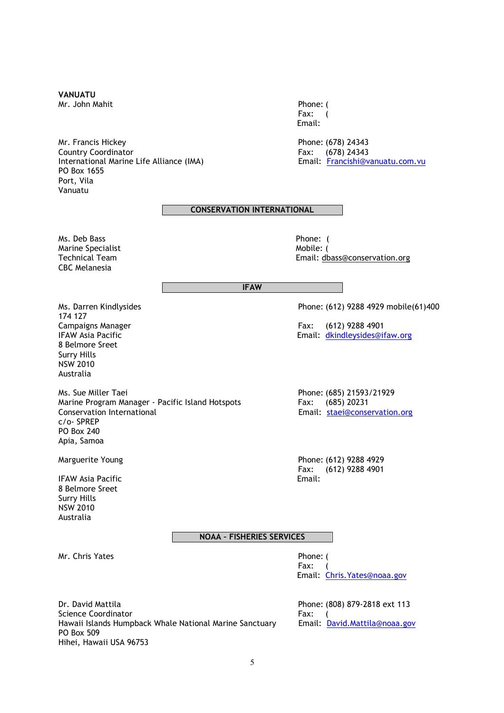### VANUATU

Mr. John Mahit Phone: (Phone: 1999)

Mr. Francis Hickey **Phone: (678) 24343** Country Coordinator Fax: (678) 24343 International Marine Life Alliance (IMA) **Email:** Francishi@vanuatu.com.vu PO Box 1655 Port, Vila Vanuatu

 Fax: ( Email:

### CONSERVATION INTERNATIONAL

Ms. Deb Bass Phone: ( Marine Specialist and the Mobile: (Nobile: (Nobile: (Nobile: 1) and Mobile: (Nobile: (Nobile: 1) and Mobile: (<br>Technical Team CBC Melanesia

Email: dbass@conservation.org

### IFAW

Ms. Darren Kindlysides Phone: (612) 9288 4929 mobile(61)400 174 127 Campaigns Manager Fax: (612) 9288 4901 8 Belmore Sreet Surry Hills NSW 2010 Australia

Ms. Sue Miller Taei<br>
Marine Program Manager - Pacific Island Hotspots<br>
Pax: (685) 20231 Marine Program Manager - Pacific Island Hotspots<br>Conservation International c/o- SPREP PO Box 240 Apia, Samoa

**IFAW Asia Pacific** 8 Belmore Sreet Surry Hills NSW 2010 Australia

### NOAA – FISHERIES SERVICES

Mr. Chris Yates **Phone:** (

IFAW Asia Pacific **Email:** dkindleysides@ifaw.org

Email: staei@conservation.org

Marguerite Young **Phone: (612)** 9288 4929 Fax: (612) 9288 4901<br>Fmail:

 Fax: ( Email: Chris.Yates@noaa.gov

Dr. David Mattila Phone: (808) 879-2818 ext 113 Science Coordinator **Fax:** ( Hawaii Islands Humpback Whale National Marine Sanctuary Email: David.Mattila@noaa.gov PO Box 509 Hihei, Hawaii USA 96753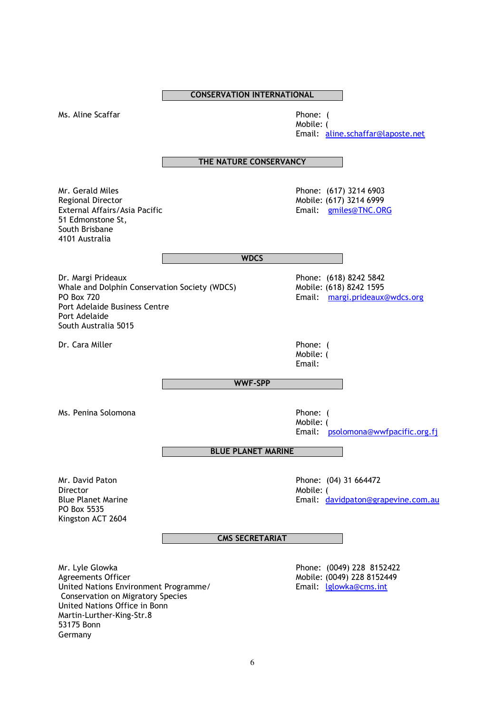Ms. Aline Scaffar **Phone:** (

Mobile: ( Email: aline.schaffar@laposte.net

THE NATURE CONSERVANCY

Mr. Gerald Miles **Mr. Gerald Miles** Phone: (617) 3214 6903<br>Regional Director **Regional Director** Regional Director<br>External Affairs/Asia Pacific Note and Mobile: (617) 3214 6999<br>Email: Altramiles@TNC.OR 51 Edmonstone St, South Brisbane 4101 Australia

Email: gmiles@TNC.ORG

**WDCS** 

Dr. Margi Prideaux **Dr. Margi Prideaux** Phone: (618) 8242 5842<br>
Whale and Dolphin Conservation Society (WDCS) Mobile: (618) 8242 1595 Whale and Dolphin Conservation Society (WDCS)<br>PO Box 720 Port Adelaide Business Centre Port Adelaide South Australia 5015

Dr. Cara Miller **Phone:** (

Email: margi.prideaux@wdcs.org

Mobile: ( Email:

WWF-SPP

Ms. Penina Solomona **Phone:** (Phone: 0)

Mobile: ( Email: psolomona@wwfpacific.org.fj

BLUE PLANET MARINE

Director **Mobile:** (*Nobile: (Nobile: (Nobile: (Nobile: (Nobile: (Nobile: (Nobile: (Nobile: (Nobile: (Nobile: (Nobile: (Nobile: (Nobile: (Nobile: (Nobile: (Nobile: (Nobile: (No* PO Box 5535 Kingston ACT 2604

Mr. David Paton **Phone:** (04) 31 664472<br>Director **Phone:** (04) 31 664472 Email: davidpaton@grapevine.com.au

CMS SECRETARIAT

Mr. Lyle Glowka Phone: (0049) 228 8152422 United Nations Environment Programme/ Email: Iglowka@cms.int Conservation on Migratory Species United Nations Office in Bonn Martin-Lurther-King-Str.8 53175 Bonn Germany

Mobile: (0049) 228 8152449